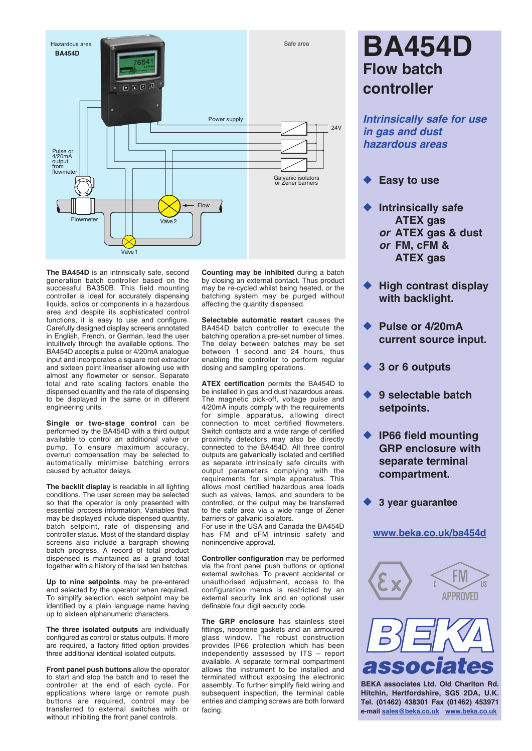

**The BA454D** is an intrinsically safe, second generation batch controller based on the successful BA350B. This field mounting controller is ideal for accurately dispensing liquids, solids or components in a hazardous area and despite its sophisticated control functions, it is easy to use and configure. Carefully designed display screens annotated in English, French, or German, lead the user intuitively through the available options. The BA454D accepts a pulse or 4/20mA analogue input and incorporates a square root extractor and sixteen point lineariser allowing use with almost any flowmeter or sensor. Separate total and rate scaling factors enable the dispensed quantity and the rate of dispensing to be displayed in the same or in different engineering units.

**Single or two-stage control** can be performed by the BA454D with a third output available to control an additional valve or pump. To ensure maximum accuracy, overrun compensation may be selected to automatically minimise batching errors caused by actuator delays.

**The backlit display** is readable in all lighting conditions. The user screen may be selected so that the operator is only presented with essential process information. Variables that may be displayed include dispensed quantity, batch setpoint, rate of dispensing and controller status. Most of the standard display screens also include a bargraph showing batch progress. A record of total product dispensed is maintained as a grand total together with a history of the last ten batches.

**Up to nine setpoints** may be pre-entered and selected by the operator when required. To simplify selection, each setpoint may be identified by a plain language name having up to sixteen alphanumeric characters.

**The three isolated outputs** are individually configured as control or status outputs. If more are required, a factory fitted option provides three additional identical isolated outputs.

**Front panel push buttons** allow the operator to start and stop the batch and to reset the controller at the end of each cycle. For applications where large or remote push buttons are required, control may be transferred to external switches with or without inhibiting the front panel controls.

**Counting may be inhibited** during a batch by closing an external contact. Thus product may be re-cycled whilst being heated, or the batching system may be purged without affecting the quantity dispensed.

**Selectable automatic restart** causes the BA454D batch controller to execute the batching operation a pre-set number of times. The delay between batches may be set between 1 second and 24 hours, thus enabling the controller to perform regular dosing and sampling operations.

**ATEX certification** permits the BA454D to be installed in gas and dust hazardous areas. The magnetic pick-off, voltage pulse and 4/20mA inputs comply with the requirements for simple apparatus, allowing direct connection to most certified flowmeters. Switch contacts and a wide range of certified proximity detectors may also be directly connected to the BA454D. All three control outputs are galvanically isolated and certified as separate intrinsically safe circuits with output parameters complying with the requirements for simple apparatus. This allows most certified hazardous area loads such as valves, lamps, and sounders to be controlled, or the output may be transferred to the safe area via a wide range of Zener barriers or galvanic isolators.

For use in the USA and Canada the BA454D has FM and cFM intrinsic safety and nonincendive approval.

**Controller configuration** may be performed via the front panel push buttons or optional external switches. To prevent accidental or unauthorised adjustment, access to the configuration menus is restricted by an external security link and an optional user definable four digit security code.

**The GRP enclosure** has stainless steel fittings, neoprene gaskets and an armoured glass window. The robust construction provides IP66 protection which has been independently assessed by ITS – report available. A separate terminal compartment allows the instrument to be installed and terminated without exposing the electronic assembly. To further simplify field wiring and subsequent inspection, the terminal cable entries and clamping screws are both forward facing.

# **BA454D Flow batch controller**

*Intrinsically safe for use in gas and dust hazardous areas*

- **Easy to use**
- **Intrinsically safe ATEX gas** *or* **ATEX gas & dust**  *or* **FM, cFM & ATEX gas**
- **High contrast display with backlight.**
- Pulse or 4/20mA **current source input.**
- u **3 or 6 outputs**
- **9 selectable batch setpoints.**
- ◆ **IP66 field mounting GRP enclosure with separate terminal compartment.**
- **3 year guarantee**

### **[www.beka.co.uk/ba454d](http://www.beka.co.uk/ba454d)**





**BEKA associates Ltd. Old Charlton Rd. Hitchin, Hertfordshire, SG5 2DA, U.K. Tel. (01462) 438301 Fax (01462) 453971 e-mail [sales@beka.co.uk](mailto:sales@beka.co.uk) [www.beka.co.uk](http://www.beka.co.uk)**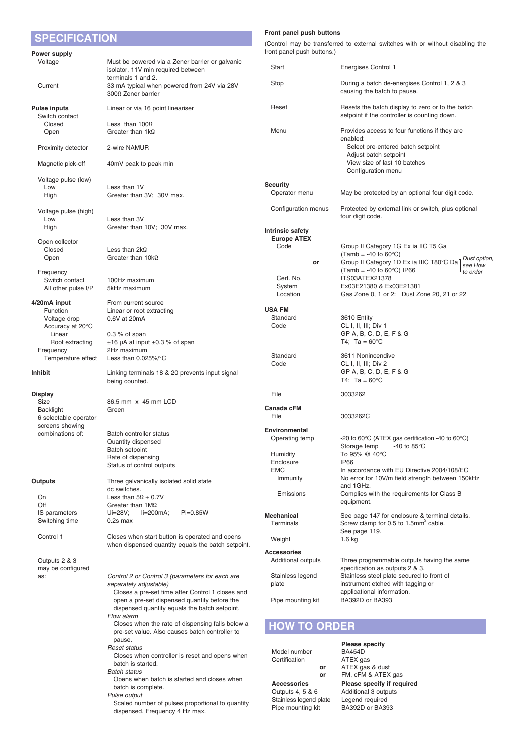| <b>SPECIFICATION</b>                     |                                                                                                      | Front panel push buttons                         |                                                                                                                        |  |
|------------------------------------------|------------------------------------------------------------------------------------------------------|--------------------------------------------------|------------------------------------------------------------------------------------------------------------------------|--|
|                                          |                                                                                                      | front panel push buttons.)                       | (Control may be transferred to external switches with or without disabling the                                         |  |
| Power supply<br>Voltage                  | Must be powered via a Zener barrier or galvanic<br>isolator, 11V min required between                | Start                                            | Energises Control 1                                                                                                    |  |
| Current                                  | terminals 1 and 2.<br>33 mA typical when powered from 24V via 28V                                    | Stop                                             | During a batch de-energises Control 1, 2 & 3                                                                           |  |
|                                          | $300\Omega$ Zener barrier                                                                            |                                                  | causing the batch to pause.                                                                                            |  |
| <b>Pulse inputs</b><br>Switch contact    | Linear or via 16 point lineariser                                                                    | Reset                                            | Resets the batch display to zero or to the batch<br>setpoint if the controller is counting down.                       |  |
| Closed<br>Open                           | Less than $100\Omega$<br>Greater than $1k\Omega$                                                     | Menu                                             | Provides access to four functions if they are                                                                          |  |
| Proximity detector                       | 2-wire NAMUR                                                                                         |                                                  | enabled:<br>Select pre-entered batch setpoint                                                                          |  |
| Magnetic pick-off                        | 40mV peak to peak min                                                                                |                                                  | Adjust batch setpoint<br>View size of last 10 batches<br>Configuration menu                                            |  |
| Voltage pulse (low)                      |                                                                                                      |                                                  |                                                                                                                        |  |
| Low<br>High                              | Less than 1V<br>Greater than 3V; 30V max.                                                            | <b>Security</b><br>Operator menu                 | May be protected by an optional four digit code.                                                                       |  |
| Voltage pulse (high)                     |                                                                                                      | Configuration menus                              | Protected by external link or switch, plus optional<br>four digit code.                                                |  |
| Low<br>High                              | Less than 3V<br>Greater than 10V; 30V max.                                                           |                                                  |                                                                                                                        |  |
|                                          |                                                                                                      | Intrinsic safety<br><b>Europe ATEX</b>           |                                                                                                                        |  |
| Open collector<br>Closed                 | Less than $2k\Omega$                                                                                 | Code                                             | Group II Category 1G Ex ia IIC T5 Ga                                                                                   |  |
| Open                                     | Greater than $10k\Omega$                                                                             | or                                               | (Tamb = -40 to $60^{\circ}$ C)<br>Dust option<br>Group II Category 1D Ex ia IIIC T80°C Da                              |  |
| Frequency                                |                                                                                                      |                                                  | see How<br>(Tamb = -40 to $60^{\circ}$ C) IP66<br>to order                                                             |  |
| Switch contact                           | 100Hz maximum                                                                                        | Cert. No.                                        | ITS03ATEX21378                                                                                                         |  |
| All other pulse I/P                      | 5kHz maximum                                                                                         | System<br>Location                               | Ex03E21380 & Ex03E21381<br>Gas Zone 0, 1 or 2: Dust Zone 20, 21 or 22                                                  |  |
| 4/20mA input                             | From current source                                                                                  |                                                  |                                                                                                                        |  |
| Function                                 | Linear or root extracting                                                                            | <b>USA FM</b>                                    |                                                                                                                        |  |
| Voltage drop                             | 0.6V at 20mA                                                                                         | Standard                                         | 3610 Entity                                                                                                            |  |
| Accuracy at 20°C<br>Linear               | $0.3\%$ of span                                                                                      | Code                                             | CL I, II, III; Div 1<br>GP A, B, C, D, E, F & G                                                                        |  |
| Root extracting                          | $\pm 16$ µA at input $\pm 0.3$ % of span                                                             |                                                  | T4; Ta = $60^{\circ}$ C                                                                                                |  |
| Frequency                                | 2Hz maximum                                                                                          | Standard                                         | 3611 Nonincendive                                                                                                      |  |
| Temperature effect                       | Less than $0.025\%$ <sup>o</sup> C                                                                   | Code                                             | CL I, II, III; Div 2                                                                                                   |  |
| Inhibit                                  | Linking terminals 18 & 20 prevents input signal<br>being counted.                                    |                                                  | GP A, B, C, D, E, F & G<br>T4; Ta = $60^{\circ}$ C                                                                     |  |
| <b>Display</b>                           |                                                                                                      | File                                             | 3033262                                                                                                                |  |
| Size<br><b>Backlight</b>                 | 86.5 mm x 45 mm LCD<br>Green                                                                         | <b>Canada cFM</b>                                |                                                                                                                        |  |
| 6 selectable operator<br>screens showing |                                                                                                      | File                                             | 3033262C                                                                                                               |  |
| combinations of:                         | Batch controller status                                                                              | Environmental                                    |                                                                                                                        |  |
|                                          | Quantity dispensed                                                                                   | Operating temp                                   | -20 to 60 $\degree$ C (ATEX gas certification -40 to 60 $\degree$ C)<br>Storage temp<br>-40 to 85 $\mathrm{^{\circ}C}$ |  |
|                                          | Batch setpoint<br>Rate of dispensing                                                                 | Humidity                                         | To 95% @ 40°C                                                                                                          |  |
|                                          | Status of control outputs                                                                            | Enclosure                                        | <b>IP66</b>                                                                                                            |  |
|                                          |                                                                                                      | <b>EMC</b><br>Immunity                           | In accordance with EU Directive 2004/108/EC<br>No error for 10V/m field strength between 150kHz                        |  |
| <b>Outputs</b>                           | Three galvanically isolated solid state<br>dc switches.                                              |                                                  | and 1GHz.                                                                                                              |  |
| On                                       | Less than $5\Omega + 0.7V$                                                                           | Emissions                                        | Complies with the requirements for Class B                                                                             |  |
| Off                                      | Greater than $1 \text{M}\Omega$                                                                      |                                                  | equipment.                                                                                                             |  |
| IS parameters<br>Switching time          | $Ui=28V;$<br>$li=200mA;$<br>$Pi=0.85W$<br>$0.2s$ max                                                 | <b>Mechanical</b><br>Terminals                   | See page 147 for enclosure & terminal details.<br>Screw clamp for 0.5 to 1.5mm <sup>2</sup> cable.                     |  |
| Control 1                                | Closes when start button is operated and opens<br>when dispensed quantity equals the batch setpoint. | Weight                                           | See page 119.<br>1.6 kg                                                                                                |  |
|                                          |                                                                                                      | <b>Accessories</b>                               |                                                                                                                        |  |
| Outputs 2 & 3<br>may be configured       |                                                                                                      | Additional outputs                               | Three programmable outputs having the same<br>specification as outputs 2 & 3.                                          |  |
| as:                                      | Control 2 or Control 3 (parameters for each are                                                      | Stainless legend                                 | Stainless steel plate secured to front of                                                                              |  |
|                                          | separately adjustable)<br>Closes a pre-set time after Control 1 closes and                           | plate                                            | instrument etched with tagging or<br>applicational information.                                                        |  |
|                                          | open a pre-set dispensed quantity before the<br>dispensed quantity equals the batch setpoint.        | Pipe mounting kit                                | BA392D or BA393                                                                                                        |  |
|                                          | Flow alarm<br>Closes when the rate of dispensing falls below a                                       | <b>HOW TO ORDER</b>                              |                                                                                                                        |  |
|                                          | pre-set value. Also causes batch controller to<br>pause.                                             |                                                  |                                                                                                                        |  |
|                                          | <b>Reset status</b>                                                                                  | Model number                                     | <b>Please specify</b><br><b>BA454D</b>                                                                                 |  |
|                                          | Closes when controller is reset and opens when                                                       | Certification                                    | ATEX gas                                                                                                               |  |
|                                          | batch is started.<br><b>Batch status</b>                                                             | or                                               | ATEX gas & dust                                                                                                        |  |
|                                          | Opens when batch is started and closes when                                                          | or                                               | FM, cFM & ATEX gas                                                                                                     |  |
|                                          | batch is complete.                                                                                   | <b>Accessories</b><br>$Q$ utpute $A$ $5$ $8$ $6$ | Please specify if required<br>additional 3 outpute                                                                     |  |

 *Pulse output* Scaled number of pulses proportional to quantity dispensed. Frequency 4 Hz max.

Outputs 4, 5 & 6 Additional 3 outputs<br>Stainless legend plate Legend required<br>Pipe mounting kit BA392D or BA393 Stainless legend plate Legend required Pipe mounting kit BA392D or BA393